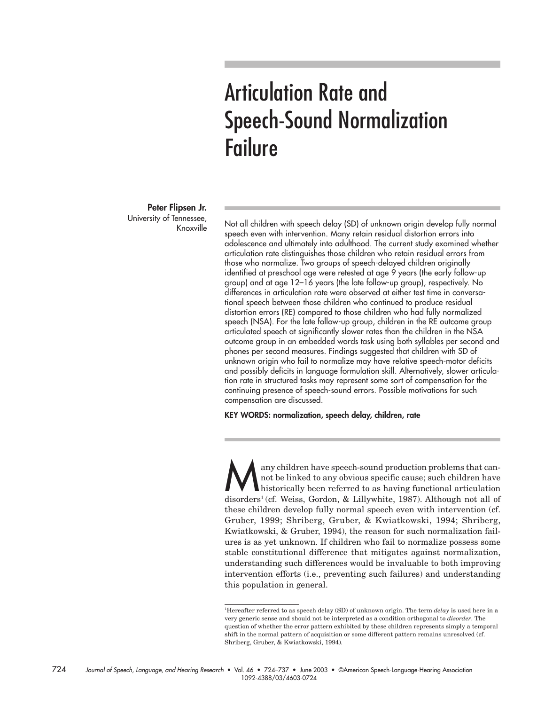# Articulation Rate and Speech-Sound Normalization Failure

#### **Peter Flipsen Jr.**

University of Tennessee, Knoxville

Not all children with speech delay (SD) of unknown origin develop fully normal speech even with intervention. Many retain residual distortion errors into adolescence and ultimately into adulthood. The current study examined whether articulation rate distinguishes those children who retain residual errors from those who normalize. Two groups of speech-delayed children originally identified at preschool age were retested at age 9 years (the early follow-up group) and at age 12–16 years (the late follow-up group), respectively. No differences in articulation rate were observed at either test time in conversational speech between those children who continued to produce residual distortion errors (RE) compared to those children who had fully normalized speech (NSA). For the late follow-up group, children in the RE outcome group articulated speech at significantly slower rates than the children in the NSA outcome group in an embedded words task using both syllables per second and phones per second measures. Findings suggested that children with SD of unknown origin who fail to normalize may have relative speech-motor deficits and possibly deficits in language formulation skill. Alternatively, slower articulation rate in structured tasks may represent some sort of compensation for the continuing presence of speech-sound errors. Possible motivations for such compensation are discussed.

**KEY WORDS: normalization, speech delay, children, rate**

A any children have speech-sound production problems that can-<br>hot be linked to any obvious specific cause; such children have<br>historically been referred to as having functional articulation<br>disorders<sup>1</sup> (cf. Weiss, Gordon not be linked to any obvious specific cause; such children have historically been referred to as having functional articulation disorders<sup>1</sup> (cf. Weiss, Gordon, & Lillywhite, 1987). Although not all of these children develop fully normal speech even with intervention (cf. Gruber, 1999; Shriberg, Gruber, & Kwiatkowski, 1994; Shriberg, Kwiatkowski, & Gruber, 1994), the reason for such normalization failures is as yet unknown. If children who fail to normalize possess some stable constitutional difference that mitigates against normalization, understanding such differences would be invaluable to both improving intervention efforts (i.e., preventing such failures) and understanding this population in general.

<sup>1</sup> Hereafter referred to as speech delay (SD) of unknown origin. The term *delay* is used here in a very generic sense and should not be interpreted as a condition orthogonal to *disorder*. The question of whether the error pattern exhibited by these children represents simply a temporal shift in the normal pattern of acquisition or some different pattern remains unresolved (cf. Shriberg, Gruber, & Kwiatkowski, 1994).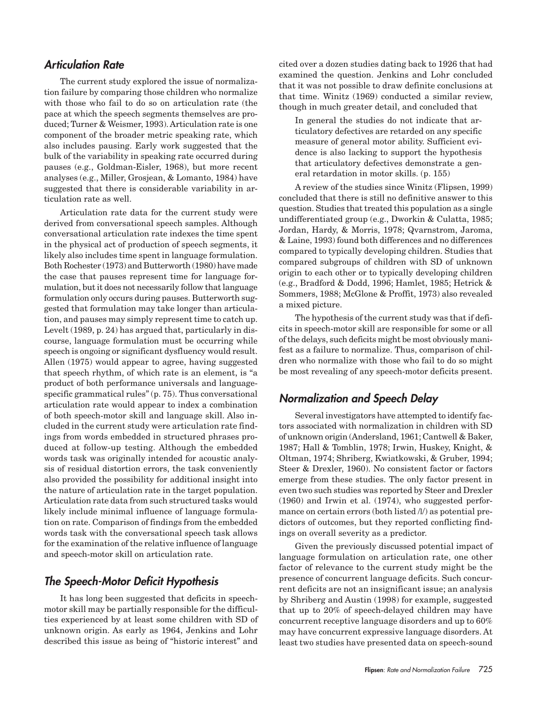#### **Articulation Rate**

The current study explored the issue of normalization failure by comparing those children who normalize with those who fail to do so on articulation rate (the pace at which the speech segments themselves are produced; Turner & Weismer, 1993). Articulation rate is one component of the broader metric speaking rate, which also includes pausing. Early work suggested that the bulk of the variability in speaking rate occurred during pauses (e.g., Goldman-Eisler, 1968), but more recent analyses (e.g., Miller, Grosjean, & Lomanto, 1984) have suggested that there is considerable variability in articulation rate as well.

Articulation rate data for the current study were derived from conversational speech samples. Although conversational articulation rate indexes the time spent in the physical act of production of speech segments, it likely also includes time spent in language formulation. Both Rochester (1973) and Butterworth (1980) have made the case that pauses represent time for language formulation, but it does not necessarily follow that language formulation only occurs during pauses. Butterworth suggested that formulation may take longer than articulation, and pauses may simply represent time to catch up. Levelt (1989, p. 24) has argued that, particularly in discourse, language formulation must be occurring while speech is ongoing or significant dysfluency would result. Allen (1975) would appear to agree, having suggested that speech rhythm, of which rate is an element, is "a product of both performance universals and languagespecific grammatical rules" (p. 75). Thus conversational articulation rate would appear to index a combination of both speech-motor skill and language skill. Also included in the current study were articulation rate findings from words embedded in structured phrases produced at follow-up testing. Although the embedded words task was originally intended for acoustic analysis of residual distortion errors, the task conveniently also provided the possibility for additional insight into the nature of articulation rate in the target population. Articulation rate data from such structured tasks would likely include minimal influence of language formulation on rate. Comparison of findings from the embedded words task with the conversational speech task allows for the examination of the relative influence of language and speech-motor skill on articulation rate.

### **The Speech-Motor Deficit Hypothesis**

It has long been suggested that deficits in speechmotor skill may be partially responsible for the difficulties experienced by at least some children with SD of unknown origin. As early as 1964, Jenkins and Lohr described this issue as being of "historic interest" and

cited over a dozen studies dating back to 1926 that had examined the question. Jenkins and Lohr concluded that it was not possible to draw definite conclusions at that time. Winitz (1969) conducted a similar review, though in much greater detail, and concluded that

In general the studies do not indicate that articulatory defectives are retarded on any specific measure of general motor ability. Sufficient evidence is also lacking to support the hypothesis that articulatory defectives demonstrate a general retardation in motor skills. (p. 155)

A review of the studies since Winitz (Flipsen, 1999) concluded that there is still no definitive answer to this question. Studies that treated this population as a single undifferentiated group (e.g., Dworkin & Culatta, 1985; Jordan, Hardy, & Morris, 1978; Qvarnstrom, Jaroma, & Laine, 1993) found both differences and no differences compared to typically developing children. Studies that compared subgroups of children with SD of unknown origin to each other or to typically developing children (e.g., Bradford & Dodd, 1996; Hamlet, 1985; Hetrick & Sommers, 1988; McGlone & Proffit, 1973) also revealed a mixed picture.

The hypothesis of the current study was that if deficits in speech-motor skill are responsible for some or all of the delays, such deficits might be most obviously manifest as a failure to normalize. Thus, comparison of children who normalize with those who fail to do so might be most revealing of any speech-motor deficits present.

## **Normalization and Speech Delay**

Several investigators have attempted to identify factors associated with normalization in children with SD of unknown origin (Andersland, 1961; Cantwell & Baker, 1987; Hall & Tomblin, 1978; Irwin, Huskey, Knight, & Oltman, 1974; Shriberg, Kwiatkowski, & Gruber, 1994; Steer & Drexler, 1960). No consistent factor or factors emerge from these studies. The only factor present in even two such studies was reported by Steer and Drexler (1960) and Irwin et al. (1974), who suggested performance on certain errors (both listed  $\lambda$ ) as potential predictors of outcomes, but they reported conflicting findings on overall severity as a predictor.

Given the previously discussed potential impact of language formulation on articulation rate, one other factor of relevance to the current study might be the presence of concurrent language deficits. Such concurrent deficits are not an insignificant issue; an analysis by Shriberg and Austin (1998) for example, suggested that up to 20% of speech-delayed children may have concurrent receptive language disorders and up to 60% may have concurrent expressive language disorders. At least two studies have presented data on speech-sound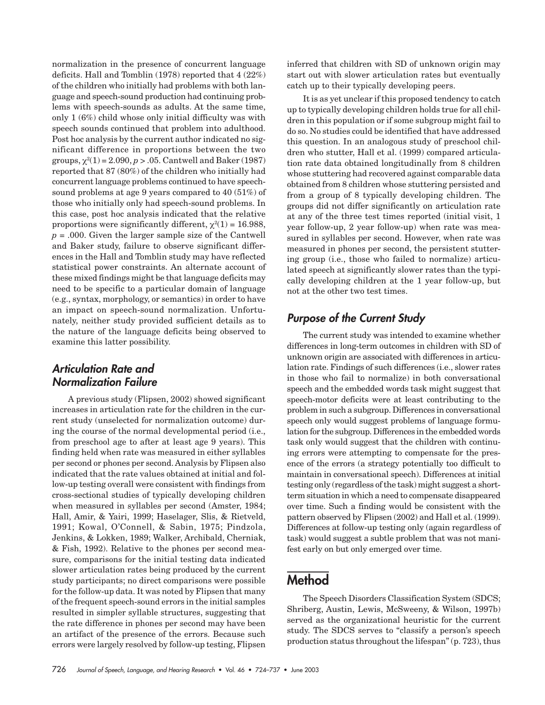normalization in the presence of concurrent language deficits. Hall and Tomblin (1978) reported that 4 (22%) of the children who initially had problems with both language and speech-sound production had continuing problems with speech-sounds as adults. At the same time, only 1 (6%) child whose only initial difficulty was with speech sounds continued that problem into adulthood. Post hoc analysis by the current author indicated no significant difference in proportions between the two groups,  $\chi^2(1)$  = 2.090,  $p > .05$ . Cantwell and Baker (1987) reported that 87 (80%) of the children who initially had concurrent language problems continued to have speechsound problems at age 9 years compared to 40 (51%) of those who initially only had speech-sound problems. In this case, post hoc analysis indicated that the relative proportions were significantly different,  $\chi^2(1) = 16.988$ , *p* = .000. Given the larger sample size of the Cantwell and Baker study, failure to observe significant differences in the Hall and Tomblin study may have reflected statistical power constraints. An alternate account of these mixed findings might be that language deficits may need to be specific to a particular domain of language (e.g., syntax, morphology, or semantics) in order to have an impact on speech-sound normalization. Unfortunately, neither study provided sufficient details as to the nature of the language deficits being observed to examine this latter possibility.

## **Articulation Rate and Normalization Failure**

A previous study (Flipsen, 2002) showed significant increases in articulation rate for the children in the current study (unselected for normalization outcome) during the course of the normal developmental period (i.e., from preschool age to after at least age 9 years). This finding held when rate was measured in either syllables per second or phones per second. Analysis by Flipsen also indicated that the rate values obtained at initial and follow-up testing overall were consistent with findings from cross-sectional studies of typically developing children when measured in syllables per second (Amster, 1984; Hall, Amir, & Yairi, 1999; Haselager, Slis, & Rietveld, 1991; Kowal, O'Connell, & Sabin, 1975; Pindzola, Jenkins, & Lokken, 1989; Walker, Archibald, Cherniak, & Fish, 1992). Relative to the phones per second measure, comparisons for the initial testing data indicated slower articulation rates being produced by the current study participants; no direct comparisons were possible for the follow-up data. It was noted by Flipsen that many of the frequent speech-sound errors in the initial samples resulted in simpler syllable structures, suggesting that the rate difference in phones per second may have been an artifact of the presence of the errors. Because such errors were largely resolved by follow-up testing, Flipsen inferred that children with SD of unknown origin may start out with slower articulation rates but eventually catch up to their typically developing peers.

It is as yet unclear if this proposed tendency to catch up to typically developing children holds true for all children in this population or if some subgroup might fail to do so. No studies could be identified that have addressed this question. In an analogous study of preschool children who stutter, Hall et al. (1999) compared articulation rate data obtained longitudinally from 8 children whose stuttering had recovered against comparable data obtained from 8 children whose stuttering persisted and from a group of 8 typically developing children. The groups did not differ significantly on articulation rate at any of the three test times reported (initial visit, 1 year follow-up, 2 year follow-up) when rate was measured in syllables per second. However, when rate was measured in phones per second, the persistent stuttering group (i.e., those who failed to normalize) articulated speech at significantly slower rates than the typically developing children at the 1 year follow-up, but not at the other two test times.

## **Purpose of the Current Study**

The current study was intended to examine whether differences in long-term outcomes in children with SD of unknown origin are associated with differences in articulation rate. Findings of such differences (i.e., slower rates in those who fail to normalize) in both conversational speech and the embedded words task might suggest that speech-motor deficits were at least contributing to the problem in such a subgroup. Differences in conversational speech only would suggest problems of language formulation for the subgroup. Differences in the embedded words task only would suggest that the children with continuing errors were attempting to compensate for the presence of the errors (a strategy potentially too difficult to maintain in conversational speech). Differences at initial testing only (regardless of the task) might suggest a shortterm situation in which a need to compensate disappeared over time. Such a finding would be consistent with the pattern observed by Flipsen (2002) and Hall et al. (1999). Differences at follow-up testing only (again regardless of task) would suggest a subtle problem that was not manifest early on but only emerged over time.

# **Method**

The Speech Disorders Classification System (SDCS; Shriberg, Austin, Lewis, McSweeny, & Wilson, 1997b) served as the organizational heuristic for the current study. The SDCS serves to "classify a person's speech production status throughout the lifespan" (p. 723), thus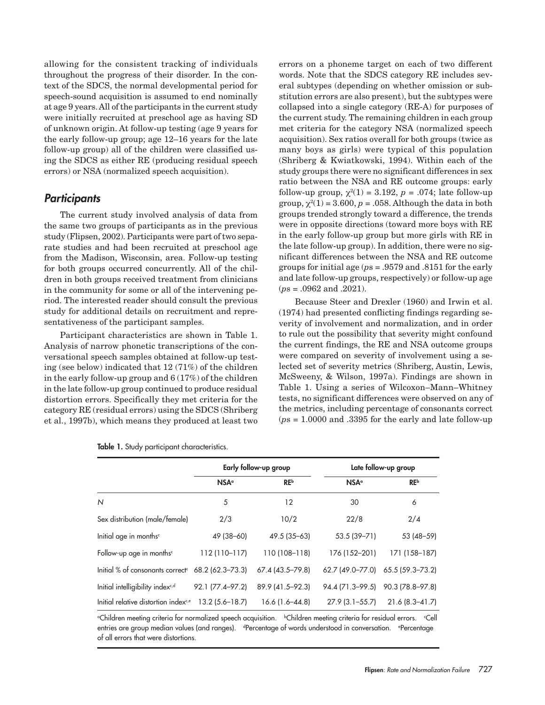allowing for the consistent tracking of individuals throughout the progress of their disorder. In the context of the SDCS, the normal developmental period for speech-sound acquisition is assumed to end nominally at age 9 years. All of the participants in the current study were initially recruited at preschool age as having SD of unknown origin. At follow-up testing (age 9 years for the early follow-up group; age 12–16 years for the late follow-up group) all of the children were classified using the SDCS as either RE (producing residual speech errors) or NSA (normalized speech acquisition).

#### **Participants**

The current study involved analysis of data from the same two groups of participants as in the previous study (Flipsen, 2002). Participants were part of two separate studies and had been recruited at preschool age from the Madison, Wisconsin, area. Follow-up testing for both groups occurred concurrently. All of the children in both groups received treatment from clinicians in the community for some or all of the intervening period. The interested reader should consult the previous study for additional details on recruitment and representativeness of the participant samples.

Participant characteristics are shown in Table 1. Analysis of narrow phonetic transcriptions of the conversational speech samples obtained at follow-up testing (see below) indicated that 12 (71%) of the children in the early follow-up group and 6 (17%) of the children in the late follow-up group continued to produce residual distortion errors. Specifically they met criteria for the category RE (residual errors) using the SDCS (Shriberg et al., 1997b), which means they produced at least two errors on a phoneme target on each of two different words. Note that the SDCS category RE includes several subtypes (depending on whether omission or substitution errors are also present), but the subtypes were collapsed into a single category (RE-A) for purposes of the current study. The remaining children in each group met criteria for the category NSA (normalized speech acquisition). Sex ratios overall for both groups (twice as many boys as girls) were typical of this population (Shriberg & Kwiatkowski, 1994). Within each of the study groups there were no significant differences in sex ratio between the NSA and RE outcome groups: early follow-up group,  $\chi^2(1) = 3.192$ ,  $p = .074$ ; late follow-up group,  $\chi^2(1)$  = 3.600, *p* = .058. Although the data in both groups trended strongly toward a difference, the trends were in opposite directions (toward more boys with RE in the early follow-up group but more girls with RE in the late follow-up group). In addition, there were no significant differences between the NSA and RE outcome groups for initial age (*p*s = .9579 and .8151 for the early and late follow-up groups, respectively) or follow-up age (*p*s = .0962 and .2021).

Because Steer and Drexler (1960) and Irwin et al. (1974) had presented conflicting findings regarding severity of involvement and normalization, and in order to rule out the possibility that severity might confound the current findings, the RE and NSA outcome groups were compared on severity of involvement using a selected set of severity metrics (Shriberg, Austin, Lewis, McSweeny, & Wilson, 1997a). Findings are shown in Table 1. Using a series of Wilcoxon–Mann–Whitney tests, no significant differences were observed on any of the metrics, including percentage of consonants correct (*p*s = 1.0000 and .3395 for the early and late follow-up

|                                                  |                         | Early follow-up group | Late follow-up group    |                    |  |
|--------------------------------------------------|-------------------------|-----------------------|-------------------------|--------------------|--|
|                                                  | <b>NSA</b> <sup>a</sup> | RE <sup>b</sup>       | <b>NSA</b> <sup>a</sup> | RE <sup>b</sup>    |  |
| N                                                | 5                       | $12 \overline{ }$     | 30                      | 6                  |  |
| Sex distribution (male/female)                   | 2/3                     | 10/2                  | 22/8                    | 2/4                |  |
| Initial age in months <sup>c</sup>               | 49 (38-60)              | 49.5 (35 - 63)        | 53.5 (39-71)            | 53 (48-59)         |  |
| Follow-up age in months <sup>c</sup>             | 112 (110-117)           | 110 (108-118)         | 176 (152-201)           | 171 (158-187)      |  |
| Initial % of consonants correct <sup>c</sup>     | 68.2 (62.3–73.3)        | 67.4 (43.5–79.8)      | 62.7 (49.0–77.0)        | 65.5 (59.3–73.2)   |  |
| Initial intelligibility indexc,d                 | 92.1 (77.4-97.2)        | 89.9 (41.5-92.3)      | 94.4 (71.3-99.5)        | 90.3 (78.8-97.8)   |  |
| Initial relative distortion index <sup>c,e</sup> | $13.2(5.6 - 18.7)$      | $16.6(1.6 - 44.8)$    | $27.9(3.1 - 55.7)$      | $21.6(8.3 - 41.7)$ |  |

°Children meeting criteria for normalized speech acquisition. <sup>ь</sup>Children meeting criteria for residual errors. °Cell entries are group median values (and ranges). <sup>d</sup>Percentage of words understood in conversation. <sup>e</sup>Percentage of all errors that were distortions.

|  |  |  | <b>Table 1.</b> Study participant characteristics. |
|--|--|--|----------------------------------------------------|
|--|--|--|----------------------------------------------------|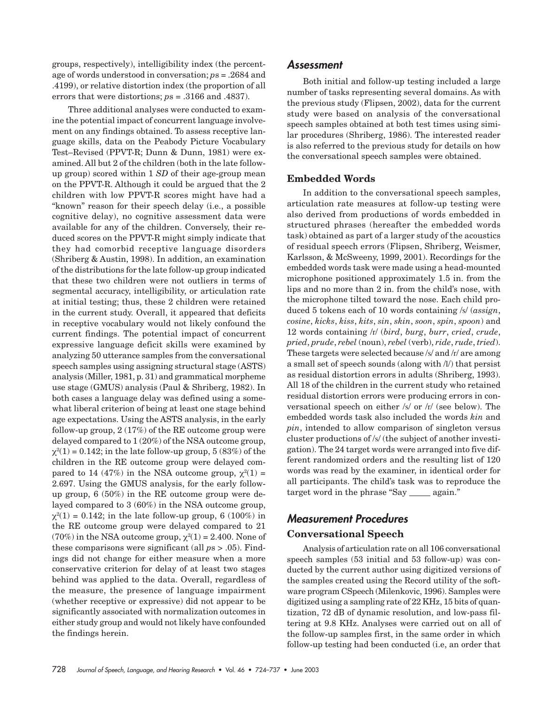groups, respectively), intelligibility index (the percentage of words understood in conversation; *p*s = .2684 and .4199), or relative distortion index (the proportion of all errors that were distortions; *p*s = .3166 and .4837).

Three additional analyses were conducted to examine the potential impact of concurrent language involvement on any findings obtained. To assess receptive language skills, data on the Peabody Picture Vocabulary Test–Revised (PPVT-R; Dunn & Dunn, 1981) were examined. All but 2 of the children (both in the late followup group) scored within 1 *SD* of their age-group mean on the PPVT-R. Although it could be argued that the 2 children with low PPVT-R scores might have had a "known" reason for their speech delay (i.e., a possible cognitive delay), no cognitive assessment data were available for any of the children. Conversely, their reduced scores on the PPVT-R might simply indicate that they had comorbid receptive language disorders (Shriberg & Austin, 1998). In addition, an examination of the distributions for the late follow-up group indicated that these two children were not outliers in terms of segmental accuracy, intelligibility, or articulation rate at initial testing; thus, these 2 children were retained in the current study. Overall, it appeared that deficits in receptive vocabulary would not likely confound the current findings. The potential impact of concurrent expressive language deficit skills were examined by analyzing 50 utterance samples from the conversational speech samples using assigning structural stage (ASTS) analysis (Miller, 1981, p. 31) and grammatical morpheme use stage (GMUS) analysis (Paul & Shriberg, 1982). In both cases a language delay was defined using a somewhat liberal criterion of being at least one stage behind age expectations. Using the ASTS analysis, in the early follow-up group, 2 (17%) of the RE outcome group were delayed compared to 1 (20%) of the NSA outcome group,  $\chi^2(1)$  = 0.142; in the late follow-up group, 5 (83%) of the children in the RE outcome group were delayed compared to 14 (47%) in the NSA outcome group,  $\chi^2(1)$  = 2.697. Using the GMUS analysis, for the early followup group, 6 (50%) in the RE outcome group were delayed compared to 3 (60%) in the NSA outcome group,  $\chi^2(1) = 0.142$ ; in the late follow-up group, 6 (100%) in the RE outcome group were delayed compared to 21 (70%) in the NSA outcome group,  $\chi^2(1) = 2.400$ . None of these comparisons were significant (all *p*s > .05). Findings did not change for either measure when a more conservative criterion for delay of at least two stages behind was applied to the data. Overall, regardless of the measure, the presence of language impairment (whether receptive or expressive) did not appear to be significantly associated with normalization outcomes in either study group and would not likely have confounded the findings herein.

#### **Assessment**

Both initial and follow-up testing included a large number of tasks representing several domains. As with the previous study (Flipsen, 2002), data for the current study were based on analysis of the conversational speech samples obtained at both test times using similar procedures (Shriberg, 1986). The interested reader is also referred to the previous study for details on how the conversational speech samples were obtained.

#### **Embedded Words**

In addition to the conversational speech samples, articulation rate measures at follow-up testing were also derived from productions of words embedded in structured phrases (hereafter the embedded words task) obtained as part of a larger study of the acoustics of residual speech errors (Flipsen, Shriberg, Weismer, Karlsson, & McSweeny, 1999, 2001). Recordings for the embedded words task were made using a head-mounted microphone positioned approximately 1.5 in. from the lips and no more than 2 in. from the child's nose, with the microphone tilted toward the nose. Each child produced 5 tokens each of 10 words containing /s/ (*assign*, *cosine*, *kicks*, *kiss*, *kits*, *sin*, *skin*, *soon*, *spin*, *spoon*) and 12 words containing /r/ (*bird*, *burg*, *burr*, *cried*, *crude*, *pried*, *prude*, *rebel* (noun), *rebel* (verb), *ride*, *rude*, *tried*). These targets were selected because /s/ and /r/ are among a small set of speech sounds (along with /l/) that persist as residual distortion errors in adults (Shriberg, 1993). All 18 of the children in the current study who retained residual distortion errors were producing errors in conversational speech on either /s/ or /r/ (see below). The embedded words task also included the words *kin* and *pin*, intended to allow comparison of singleton versus cluster productions of /s/ (the subject of another investigation). The 24 target words were arranged into five different randomized orders and the resulting list of 120 words was read by the examiner, in identical order for all participants. The child's task was to reproduce the target word in the phrase "Say \_\_\_\_\_ again."

## **Measurement Procedures Conversational Speech**

Analysis of articulation rate on all 106 conversational speech samples (53 initial and 53 follow-up) was conducted by the current author using digitized versions of the samples created using the Record utility of the software program CSpeech (Milenkovic, 1996). Samples were digitized using a sampling rate of 22 KHz, 15 bits of quantization, 72 dB of dynamic resolution, and low-pass filtering at 9.8 KHz. Analyses were carried out on all of the follow-up samples first, in the same order in which follow-up testing had been conducted (i.e, an order that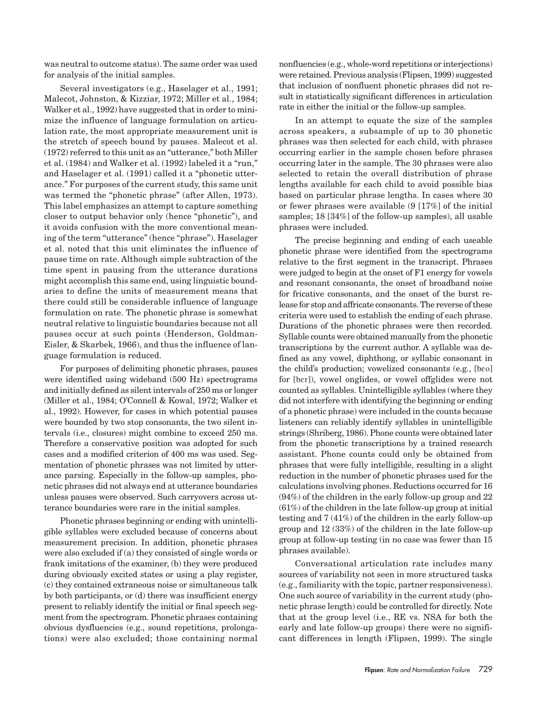was neutral to outcome status). The same order was used for analysis of the initial samples.

Several investigators (e.g., Haselager et al., 1991; Malecot, Johnston, & Kizziar, 1972; Miller et al., 1984; Walker et al., 1992) have suggested that in order to minimize the influence of language formulation on articulation rate, the most appropriate measurement unit is the stretch of speech bound by pauses. Malecot et al. (1972) referred to this unit as an "utterance," both Miller et al. (1984) and Walker et al. (1992) labeled it a "run," and Haselager et al. (1991) called it a "phonetic utterance." For purposes of the current study, this same unit was termed the "phonetic phrase" (after Allen, 1973). This label emphasizes an attempt to capture something closer to output behavior only (hence "phonetic"), and it avoids confusion with the more conventional meaning of the term "utterance" (hence "phrase"). Haselager et al. noted that this unit eliminates the influence of pause time on rate. Although simple subtraction of the time spent in pausing from the utterance durations might accomplish this same end, using linguistic boundaries to define the units of measurement means that there could still be considerable influence of language formulation on rate. The phonetic phrase is somewhat neutral relative to linguistic boundaries because not all pauses occur at such points (Henderson, Goldman-Eisler, & Skarbek, 1966), and thus the influence of language formulation is reduced.

For purposes of delimiting phonetic phrases, pauses were identified using wideband (500 Hz) spectrograms and initially defined as silent intervals of 250 ms or longer (Miller et al., 1984; O'Connell & Kowal, 1972; Walker et al., 1992). However, for cases in which potential pauses were bounded by two stop consonants, the two silent intervals (i.e., closures) might combine to exceed 250 ms. Therefore a conservative position was adopted for such cases and a modified criterion of 400 ms was used. Segmentation of phonetic phrases was not limited by utterance parsing. Especially in the follow-up samples, phonetic phrases did not always end at utterance boundaries unless pauses were observed. Such carryovers across utterance boundaries were rare in the initial samples.

Phonetic phrases beginning or ending with unintelligible syllables were excluded because of concerns about measurement precision. In addition, phonetic phrases were also excluded if (a) they consisted of single words or frank imitations of the examiner, (b) they were produced during obviously excited states or using a play register, (c) they contained extraneous noise or simultaneous talk by both participants, or (d) there was insufficient energy present to reliably identify the initial or final speech segment from the spectrogram. Phonetic phrases containing obvious dysfluencies (e.g., sound repetitions, prolongations) were also excluded; those containing normal nonfluencies (e.g., whole-word repetitions or interjections) were retained. Previous analysis (Flipsen, 1999) suggested that inclusion of nonfluent phonetic phrases did not result in statistically significant differences in articulation rate in either the initial or the follow-up samples.

In an attempt to equate the size of the samples across speakers, a subsample of up to 30 phonetic phrases was then selected for each child, with phrases occurring earlier in the sample chosen before phrases occurring later in the sample. The 30 phrases were also selected to retain the overall distribution of phrase lengths available for each child to avoid possible bias based on particular phrase lengths. In cases where 30 or fewer phrases were available (9 [17%] of the initial samples; 18 [34%] of the follow-up samples), all usable phrases were included.

The precise beginning and ending of each useable phonetic phrase were identified from the spectrograms relative to the first segment in the transcript. Phrases were judged to begin at the onset of F1 energy for vowels and resonant consonants, the onset of broadband noise for fricative consonants, and the onset of the burst release for stop and affricate consonants. The reverse of these criteria were used to establish the ending of each phrase. Durations of the phonetic phrases were then recorded. Syllable counts were obtained manually from the phonetic transcriptions by the current author. A syllable was defined as any vowel, diphthong, or syllabic consonant in the child's production; vowelized consonants (e.g., [beo] for [ber]), vowel onglides, or vowel offglides were not counted as syllables. Unintelligible syllables (where they did not interfere with identifying the beginning or ending of a phonetic phrase) were included in the counts because listeners can reliably identify syllables in unintelligible strings (Shriberg, 1986). Phone counts were obtained later from the phonetic transcriptions by a trained research assistant. Phone counts could only be obtained from phrases that were fully intelligible, resulting in a slight reduction in the number of phonetic phrases used for the calculations involving phones. Reductions occurred for 16 (94%) of the children in the early follow-up group and 22 (61%) of the children in the late follow-up group at initial testing and 7 (41%) of the children in the early follow-up group and 12 (33%) of the children in the late follow-up group at follow-up testing (in no case was fewer than 15 phrases available).

Conversational articulation rate includes many sources of variability not seen in more structured tasks (e.g., familiarity with the topic, partner responsiveness). One such source of variability in the current study (phonetic phrase length) could be controlled for directly. Note that at the group level (i.e., RE vs. NSA for both the early and late follow-up groups) there were no significant differences in length (Flipsen, 1999). The single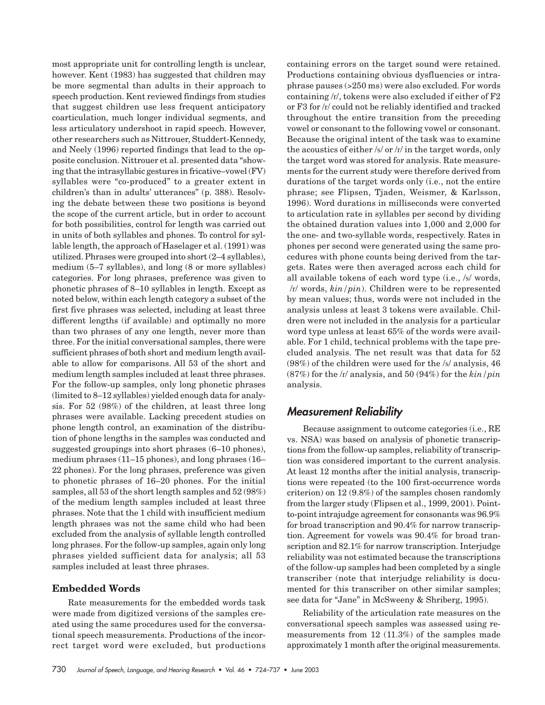most appropriate unit for controlling length is unclear, however. Kent (1983) has suggested that children may be more segmental than adults in their approach to speech production. Kent reviewed findings from studies that suggest children use less frequent anticipatory coarticulation, much longer individual segments, and less articulatory undershoot in rapid speech. However, other researchers such as Nittrouer, Studdert-Kennedy, and Neely (1996) reported findings that lead to the opposite conclusion. Nittrouer et al. presented data "showing that the intrasyllabic gestures in fricative–vowel (FV) syllables were "co-produced" to a greater extent in children's than in adults' utterances" (p. 388). Resolving the debate between these two positions is beyond the scope of the current article, but in order to account for both possibilities, control for length was carried out in units of both syllables and phones. To control for syllable length, the approach of Haselager et al. (1991) was utilized. Phrases were grouped into short (2–4 syllables), medium (5–7 syllables), and long (8 or more syllables) categories. For long phrases, preference was given to phonetic phrases of 8–10 syllables in length. Except as noted below, within each length category a subset of the first five phrases was selected, including at least three different lengths (if available) and optimally no more than two phrases of any one length, never more than three. For the initial conversational samples, there were sufficient phrases of both short and medium length available to allow for comparisons. All 53 of the short and medium length samples included at least three phrases. For the follow-up samples, only long phonetic phrases (limited to 8–12 syllables) yielded enough data for analysis. For 52 (98%) of the children, at least three long phrases were available. Lacking precedent studies on phone length control, an examination of the distribution of phone lengths in the samples was conducted and suggested groupings into short phrases (6–10 phones), medium phrases (11–15 phones), and long phrases (16– 22 phones). For the long phrases, preference was given to phonetic phrases of 16–20 phones. For the initial samples, all 53 of the short length samples and 52 (98%) of the medium length samples included at least three phrases. Note that the 1 child with insufficient medium length phrases was not the same child who had been excluded from the analysis of syllable length controlled long phrases. For the follow-up samples, again only long phrases yielded sufficient data for analysis; all 53 samples included at least three phrases.

#### **Embedded Words**

Rate measurements for the embedded words task were made from digitized versions of the samples created using the same procedures used for the conversational speech measurements. Productions of the incorrect target word were excluded, but productions containing errors on the target sound were retained. Productions containing obvious dysfluencies or intraphrase pauses (>250 ms) were also excluded. For words containing /r/, tokens were also excluded if either of F2 or F3 for /r/ could not be reliably identified and tracked throughout the entire transition from the preceding vowel or consonant to the following vowel or consonant. Because the original intent of the task was to examine the acoustics of either /s/ or /r/ in the target words, only the target word was stored for analysis. Rate measurements for the current study were therefore derived from durations of the target words only (i.e., not the entire phrase; see Flipsen, Tjaden, Weismer, & Karlsson, 1996). Word durations in milliseconds were converted to articulation rate in syllables per second by dividing the obtained duration values into 1,000 and 2,000 for the one- and two-syllable words, respectively. Rates in phones per second were generated using the same procedures with phone counts being derived from the targets. Rates were then averaged across each child for all available tokens of each word type (i.e., /s/ words, /r/ words, *kin/pin*). Children were to be represented by mean values; thus, words were not included in the analysis unless at least 3 tokens were available. Children were not included in the analysis for a particular word type unless at least 65% of the words were available. For 1 child, technical problems with the tape precluded analysis. The net result was that data for 52 (98%) of the children were used for the /s/ analysis, 46 (87%) for the /r/ analysis, and 50 (94%) for the *kin/pin* analysis.

### **Measurement Reliability**

Because assignment to outcome categories (i.e., RE vs. NSA) was based on analysis of phonetic transcriptions from the follow-up samples, reliability of transcription was considered important to the current analysis. At least 12 months after the initial analysis, transcriptions were repeated (to the 100 first-occurrence words criterion) on 12 (9.8%) of the samples chosen randomly from the larger study (Flipsen et al., 1999, 2001). Pointto-point intrajudge agreement for consonants was 96.9% for broad transcription and 90.4% for narrow transcription. Agreement for vowels was 90.4% for broad transcription and 82.1% for narrow transcription. Interjudge reliability was not estimated because the transcriptions of the follow-up samples had been completed by a single transcriber (note that interjudge reliability is documented for this transcriber on other similar samples; see data for "Jane" in McSweeny & Shriberg, 1995).

Reliability of the articulation rate measures on the conversational speech samples was assessed using remeasurements from 12 (11.3%) of the samples made approximately 1 month after the original measurements.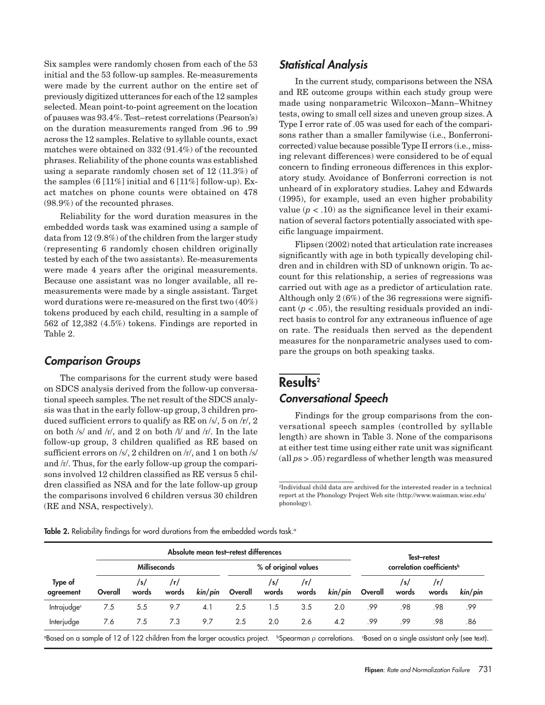Six samples were randomly chosen from each of the 53 initial and the 53 follow-up samples. Re-measurements were made by the current author on the entire set of previously digitized utterances for each of the 12 samples selected. Mean point-to-point agreement on the location of pauses was 93.4%. Test–retest correlations (Pearson's) on the duration measurements ranged from .96 to .99 across the 12 samples. Relative to syllable counts, exact matches were obtained on 332 (91.4%) of the recounted phrases. Reliability of the phone counts was established using a separate randomly chosen set of 12 (11.3%) of the samples  $(6 [11\%]$  initial and  $6 [11\%]$  follow-up). Exact matches on phone counts were obtained on 478 (98.9%) of the recounted phrases.

Reliability for the word duration measures in the embedded words task was examined using a sample of data from 12 (9.8%) of the children from the larger study (representing 6 randomly chosen children originally tested by each of the two assistants). Re-measurements were made 4 years after the original measurements. Because one assistant was no longer available, all remeasurements were made by a single assistant. Target word durations were re-measured on the first two (40%) tokens produced by each child, resulting in a sample of 562 of 12,382 (4.5%) tokens. Findings are reported in Table 2.

### **Comparison Groups**

The comparisons for the current study were based on SDCS analysis derived from the follow-up conversational speech samples. The net result of the SDCS analysis was that in the early follow-up group, 3 children produced sufficient errors to qualify as RE on /s/, 5 on /r/, 2 on both /s/ and /r/, and 2 on both /l/ and /r/. In the late follow-up group, 3 children qualified as RE based on sufficient errors on /s/, 2 children on /r/, and 1 on both /s/ and /r/. Thus, for the early follow-up group the comparisons involved 12 children classified as RE versus 5 children classified as NSA and for the late follow-up group the comparisons involved 6 children versus 30 children (RE and NSA, respectively).

# **Statistical Analysis**

In the current study, comparisons between the NSA and RE outcome groups within each study group were made using nonparametric Wilcoxon–Mann–Whitney tests, owing to small cell sizes and uneven group sizes. A Type I error rate of .05 was used for each of the comparisons rather than a smaller familywise (i.e., Bonferronicorrected) value because possible Type II errors (i.e., missing relevant differences) were considered to be of equal concern to finding erroneous differences in this exploratory study. Avoidance of Bonferroni correction is not unheard of in exploratory studies. Lahey and Edwards (1995), for example, used an even higher probability value  $(p < .10)$  as the significance level in their examination of several factors potentially associated with specific language impairment.

Flipsen (2002) noted that articulation rate increases significantly with age in both typically developing children and in children with SD of unknown origin. To account for this relationship, a series of regressions was carried out with age as a predictor of articulation rate. Although only 2 (6%) of the 36 regressions were significant  $(p < .05)$ , the resulting residuals provided an indirect basis to control for any extraneous influence of age on rate. The residuals then served as the dependent measures for the nonparametric analyses used to compare the groups on both speaking tasks.

# Results<sup>2</sup> **Conversational Speech**

Findings for the group comparisons from the conversational speech samples (controlled by syllable length) are shown in Table 3. None of the comparisons at either test time using either rate unit was significant (all *p*s > .05) regardless of whether length was measured

Table 2. Reliability findings for word durations from the embedded words task.<sup>a</sup>

|                         |                     | Absolute mean test-retest differences |              |                      |         |              |                                       |         | Test-retest |              |              |         |
|-------------------------|---------------------|---------------------------------------|--------------|----------------------|---------|--------------|---------------------------------------|---------|-------------|--------------|--------------|---------|
|                         | <b>Milliseconds</b> |                                       |              | % of original values |         |              | correlation coefficients <sup>b</sup> |         |             |              |              |         |
| Type of<br>agreement    | Overall             | /s/<br>words                          | /r/<br>words | kin/pin              | Overall | /s/<br>words | /r/<br>words                          | kin/pin | Overall     | /s/<br>words | /r/<br>words | kin/pin |
| Intrajudge <sup>c</sup> | 7.5                 | 5.5                                   | 9.7          | 4.1                  | 2.5     | 1.5          | 3.5                                   | 2.0     | .99         | .98          | .98          | .99     |
| Interjudge              | 7.6                 | 7.5                                   | 7.3          | 9.7                  | 2.5     | 2.0          | 2.6                                   | 4.2     | .99         | .99          | .98          | .86     |

<sup>2</sup> Individual child data are archived for the interested reader in a technical report at the Phonology Project Web site (http://www.waisman.wisc.edu/ phonology).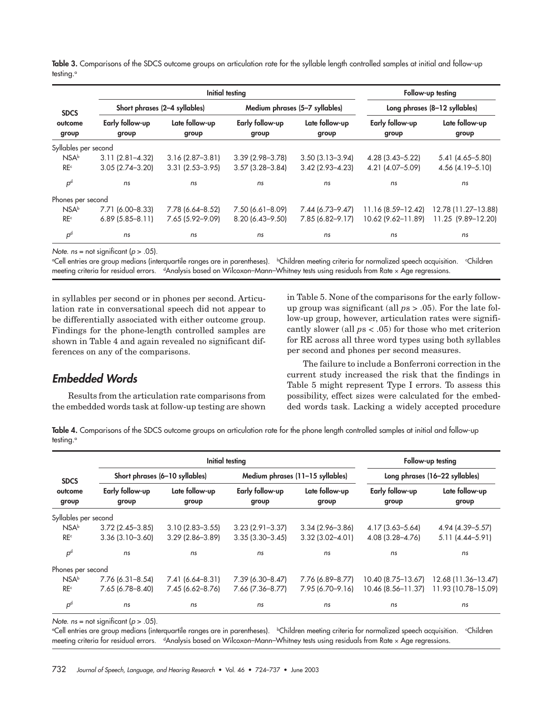**Table 3.** Comparisons of the SDCS outcome groups on articulation rate for the syllable length controlled samples at initial and follow-up testing.<sup>a</sup>

|                        |                          | Initial testing               | Follow-up testing        |                                |                               |                         |  |
|------------------------|--------------------------|-------------------------------|--------------------------|--------------------------------|-------------------------------|-------------------------|--|
| <b>SDCS</b>            |                          | Short phrases (2-4 syllables) |                          | Medium phrases (5-7 syllables) | Long phrases (8-12 syllables) |                         |  |
| outcome<br>group       | Early follow-up<br>group | Late follow-up<br>group       | Early follow-up<br>group | Late follow-up<br>group        | Early follow-up<br>group      | Late follow-up<br>group |  |
| Syllables per second   |                          |                               |                          |                                |                               |                         |  |
| NSA <sup>b</sup>       | $3.11(2.81 - 4.32)$      | $3.16(2.87 - 3.81)$           | $3.39(2.98 - 3.78)$      | $3.50(3.13 - 3.94)$            | 4.28 (3.43-5.22)              | 5.41 (4.65-5.80)        |  |
| <b>RE</b> <sup>c</sup> | $3.05(2.74 - 3.20)$      | $3.31(2.53 - 3.95)$           | $3.57(3.28 - 3.84)$      | $3.42$ (2.93-4.23)             | 4.21 (4.07-5.09)              | 4.56 (4.19 - 5.10)      |  |
| p <sup>d</sup>         | ns                       | ns                            | ns                       | ns                             | ns                            | ns                      |  |
| Phones per second      |                          |                               |                          |                                |                               |                         |  |
| NSA <sup>b</sup>       | 7.71 (6.00-8.33)         | 7.78 (6.64-8.52)              | 7.50 (6.61-8.09)         | 7.44 (6.73-9.47)               | 11.16 (8.59–12.42)            | 12.78 (11.27-13.88)     |  |
| <b>RE</b> <sup>c</sup> | $6.89(5.85 - 8.11)$      | 7.65 (5.92-9.09)              | 8.20 (6.43-9.50)         | 7.85 (6.82-9.17)               | 10.62 (9.62-11.89)            | 11.25 (9.89-12.20)      |  |
| p <sup>d</sup>         | ns                       | ns                            | ns                       | ns                             | ns                            | ns                      |  |

Note.  $ns = not significant (p > .05)$ .

℃ell entries are group medians (interquartile ranges are in parentheses). bChildren meeting criteria for normalized speech acquisition. °Children meeting criteria for residual errors. 'Analysis based on Wilcoxon–Mann–Whitney tests using residuals from Rate × Age regressions.

in syllables per second or in phones per second. Articulation rate in conversational speech did not appear to be differentially associated with either outcome group. Findings for the phone-length controlled samples are shown in Table 4 and again revealed no significant differences on any of the comparisons.

in Table 5. None of the comparisons for the early followup group was significant (all *p*s > .05). For the late follow-up group, however, articulation rates were significantly slower (all *p*s < .05) for those who met criterion for RE across all three word types using both syllables per second and phones per second measures.

# **Embedded Words**

Results from the articulation rate comparisons from the embedded words task at follow-up testing are shown

The failure to include a Bonferroni correction in the current study increased the risk that the findings in Table 5 might represent Type I errors. To assess this possibility, effect sizes were calculated for the embedded words task. Lacking a widely accepted procedure

**Table 4.** Comparisons of the SDCS outcome groups on articulation rate for the phone length controlled samples at initial and follow-up testing.<sup>a</sup>

|                                 |                          | Initial testing                | Follow-up testing        |                                  |                                |                         |  |
|---------------------------------|--------------------------|--------------------------------|--------------------------|----------------------------------|--------------------------------|-------------------------|--|
| <b>SDCS</b><br>outcome<br>group |                          | Short phrases (6-10 syllables) |                          | Medium phrases (11-15 syllables) | Long phrases (16–22 syllables) |                         |  |
|                                 | Early follow-up<br>group | Late follow-up<br>group        | Early follow-up<br>group | Late follow-up<br>group          | Early follow-up<br>group       | Late follow-up<br>group |  |
| Syllables per second            |                          |                                |                          |                                  |                                |                         |  |
| NSA <sup>b</sup>                | $3.72$ (2.45-3.85)       | $3.10(2.83 - 3.55)$            | $3.23(2.91 - 3.37)$      | $3.34(2.96 - 3.86)$              | 4.17 (3.63-5.64)               | 4.94 (4.39 - 5.57)      |  |
| RE <sup>c</sup>                 | $3.36(3.10 - 3.60)$      | $3.29(2.86 - 3.89)$            | $3.35(3.30 - 3.45)$      | $3.32(3.02 - 4.01)$              | 4.08 (3.28-4.76)               | $5.11(4.44 - 5.91)$     |  |
| p <sup>d</sup>                  | ns                       | ns                             | ns                       | ns                               | ns                             | ns                      |  |
| Phones per second               |                          |                                |                          |                                  |                                |                         |  |
| NSA <sup>b</sup>                | $7.76(6.31 - 8.54)$      | $7.41(6.64 - 8.31)$            | 7.39 (6.30-8.47)         | 7.76 (6.89–8.77)                 | 10.40 (8.75–13.67)             | 12.68 (11.36-13.47)     |  |
| <b>RE</b> <sup>c</sup>          | 7.65 (6.78-8.40)         | 7.45 (6.62-8.76)               | 7.66 (7.36-8.77)         | 7.95 (6.70-9.16)                 | 10.46 (8.56-11.37)             | 11.93 (10.78-15.09)     |  |
| p <sup>d</sup>                  | ns                       | ns                             | ns                       | ns                               | ns                             | ns                      |  |

Note.  $ns = not significant (p > .05)$ .

℃ell entries are group medians (interquartile ranges are in parentheses). bChildren meeting criteria for normalized speech acquisition. °Children meeting criteria for residual errors. 'Analysis based on Wilcoxon–Mann–Whitney tests using residuals from Rate × Age regressions.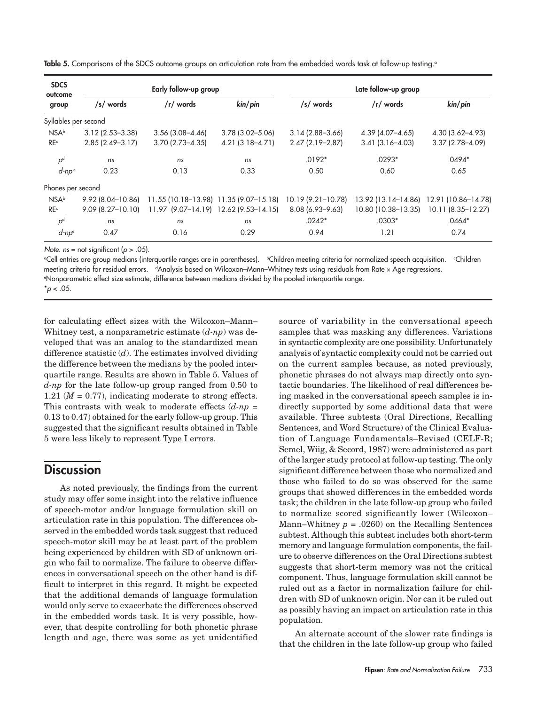|                      |                     |                    | Late follow-up group                                                                                     |                     |                     |  |  |
|----------------------|---------------------|--------------------|----------------------------------------------------------------------------------------------------------|---------------------|---------------------|--|--|
| /s/ words            | $/r$ words          | $kin$ pin          | /s/ words                                                                                                | $/r$ words          | $\frac{kin}{pin}$   |  |  |
| Syllables per second |                     |                    |                                                                                                          |                     |                     |  |  |
| $3.12(2.53 - 3.38)$  | $3.56$ (3.08-4.46)  | $3.78$ (3.02-5.06) | $3.14(2.88 - 3.66)$                                                                                      | 4.39 (4.07–4.65)    | 4.30 (3.62–4.93)    |  |  |
| $2.85(2.49-3.17)$    | $3.70(2.73 - 4.35)$ | 4.21 (3.18–4.71)   | $2.47(2.19 - 2.87)$                                                                                      | $3.41(3.16 - 4.03)$ | $3.37(2.78 - 4.09)$ |  |  |
| ns                   | ns                  | ns                 | $.0192*$                                                                                                 | $.0293*$            | $.0494*$            |  |  |
| 0.23                 | 0.13                | 0.33               | 0.50                                                                                                     | 0.60                | 0.65                |  |  |
| Phones per second    |                     |                    |                                                                                                          |                     |                     |  |  |
| $9.92(8.04 - 10.86)$ |                     |                    | $10.19(9.21 - 10.78)$                                                                                    |                     | 12.91 (10.86-14.78) |  |  |
| $9.09(8.27 - 10.10)$ |                     |                    | $8.08(6.93 - 9.63)$                                                                                      | 10.80 (10.38-13.35) | 10.11 (8.35-12.27)  |  |  |
| ns                   | ns                  | ns                 | $.0242*$                                                                                                 | $.0303*$            | $.0464*$            |  |  |
| 0.47                 | 0.16                | 0.29               | 0.94                                                                                                     | 1.21                | 0.74                |  |  |
|                      |                     |                    | Early follow-up group<br>11.55 (10.18–13.98) 11.35 (9.07–15.18)<br>11.97 (9.07-14.19) 12.62 (9.53-14.15) |                     | 13.92 (13.14-14.86) |  |  |

Table 5. Comparisons of the SDCS outcome groups on articulation rate from the embedded words task at follow-up testing.<sup>a</sup>

Note.  $ns = not significant (p > .05)$ .

℃ell entries are group medians (interquartile ranges are in parentheses). ÞChildren meeting criteria for normalized speech acquisition. Æhildren meeting criteria for residual errors. 'Analysis based on Wilcoxon–Mann–Whitney tests using residuals from Rate × Age regressions. e Nonparametric effect size estimate; difference between medians divided by the pooled interquartile range.  $*_{p}$  < .05.

for calculating effect sizes with the Wilcoxon–Mann– Whitney test, a nonparametric estimate (*d-np*) was developed that was an analog to the standardized mean difference statistic (*d*). The estimates involved dividing the difference between the medians by the pooled interquartile range. Results are shown in Table 5. Values of *d-np* for the late follow-up group ranged from 0.50 to 1.21 ( $M = 0.77$ ), indicating moderate to strong effects. This contrasts with weak to moderate effects  $(d \cdot np =$ 0.13 to 0.47) obtained for the early follow-up group. This suggested that the significant results obtained in Table 5 were less likely to represent Type I errors.

# **Discussion**

As noted previously, the findings from the current study may offer some insight into the relative influence of speech-motor and/or language formulation skill on articulation rate in this population. The differences observed in the embedded words task suggest that reduced speech-motor skill may be at least part of the problem being experienced by children with SD of unknown origin who fail to normalize. The failure to observe differences in conversational speech on the other hand is difficult to interpret in this regard. It might be expected that the additional demands of language formulation would only serve to exacerbate the differences observed in the embedded words task. It is very possible, however, that despite controlling for both phonetic phrase length and age, there was some as yet unidentified

source of variability in the conversational speech samples that was masking any differences. Variations in syntactic complexity are one possibility. Unfortunately analysis of syntactic complexity could not be carried out on the current samples because, as noted previously, phonetic phrases do not always map directly onto syntactic boundaries. The likelihood of real differences being masked in the conversational speech samples is indirectly supported by some additional data that were available. Three subtests (Oral Directions, Recalling Sentences, and Word Structure) of the Clinical Evaluation of Language Fundamentals–Revised (CELF-R; Semel, Wiig, & Secord, 1987) were administered as part of the larger study protocol at follow-up testing. The only significant difference between those who normalized and those who failed to do so was observed for the same groups that showed differences in the embedded words task; the children in the late follow-up group who failed to normalize scored significantly lower (Wilcoxon– Mann–Whitney  $p = .0260$  on the Recalling Sentences subtest. Although this subtest includes both short-term memory and language formulation components, the failure to observe differences on the Oral Directions subtest suggests that short-term memory was not the critical component. Thus, language formulation skill cannot be ruled out as a factor in normalization failure for children with SD of unknown origin. Nor can it be ruled out as possibly having an impact on articulation rate in this population.

An alternate account of the slower rate findings is that the children in the late follow-up group who failed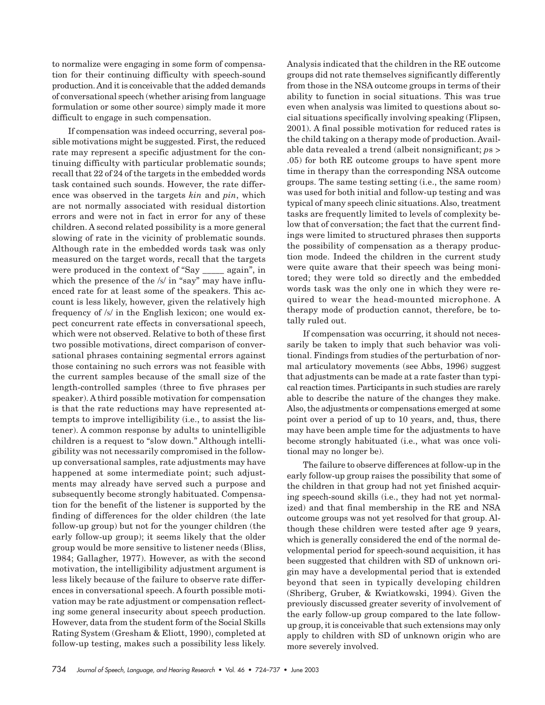to normalize were engaging in some form of compensation for their continuing difficulty with speech-sound production. And it is conceivable that the added demands of conversational speech (whether arising from language formulation or some other source) simply made it more difficult to engage in such compensation.

If compensation was indeed occurring, several possible motivations might be suggested. First, the reduced rate may represent a specific adjustment for the continuing difficulty with particular problematic sounds; recall that 22 of 24 of the targets in the embedded words task contained such sounds. However, the rate difference was observed in the targets *kin* and *pin*, which are not normally associated with residual distortion errors and were not in fact in error for any of these children. A second related possibility is a more general slowing of rate in the vicinity of problematic sounds. Although rate in the embedded words task was only measured on the target words, recall that the targets were produced in the context of "Say \_\_\_\_\_ again", in which the presence of the /s/ in "say" may have influenced rate for at least some of the speakers. This account is less likely, however, given the relatively high frequency of /s/ in the English lexicon; one would expect concurrent rate effects in conversational speech, which were not observed. Relative to both of these first two possible motivations, direct comparison of conversational phrases containing segmental errors against those containing no such errors was not feasible with the current samples because of the small size of the length-controlled samples (three to five phrases per speaker). A third possible motivation for compensation is that the rate reductions may have represented attempts to improve intelligibility (i.e., to assist the listener). A common response by adults to unintelligible children is a request to "slow down." Although intelligibility was not necessarily compromised in the followup conversational samples, rate adjustments may have happened at some intermediate point; such adjustments may already have served such a purpose and subsequently become strongly habituated. Compensation for the benefit of the listener is supported by the finding of differences for the older children (the late follow-up group) but not for the younger children (the early follow-up group); it seems likely that the older group would be more sensitive to listener needs (Bliss, 1984; Gallagher, 1977). However, as with the second motivation, the intelligibility adjustment argument is less likely because of the failure to observe rate differences in conversational speech. A fourth possible motivation may be rate adjustment or compensation reflecting some general insecurity about speech production. However, data from the student form of the Social Skills Rating System (Gresham & Eliott, 1990), completed at follow-up testing, makes such a possibility less likely.

Analysis indicated that the children in the RE outcome groups did not rate themselves significantly differently from those in the NSA outcome groups in terms of their ability to function in social situations. This was true even when analysis was limited to questions about social situations specifically involving speaking (Flipsen, 2001). A final possible motivation for reduced rates is the child taking on a therapy mode of production. Available data revealed a trend (albeit nonsignificant; *p*s > .05) for both RE outcome groups to have spent more time in therapy than the corresponding NSA outcome groups. The same testing setting (i.e., the same room) was used for both initial and follow-up testing and was typical of many speech clinic situations. Also, treatment tasks are frequently limited to levels of complexity below that of conversation; the fact that the current findings were limited to structured phrases then supports the possibility of compensation as a therapy production mode. Indeed the children in the current study were quite aware that their speech was being monitored; they were told so directly and the embedded words task was the only one in which they were required to wear the head-mounted microphone. A therapy mode of production cannot, therefore, be totally ruled out.

If compensation was occurring, it should not necessarily be taken to imply that such behavior was volitional. Findings from studies of the perturbation of normal articulatory movements (see Abbs, 1996) suggest that adjustments can be made at a rate faster than typical reaction times. Participants in such studies are rarely able to describe the nature of the changes they make. Also, the adjustments or compensations emerged at some point over a period of up to 10 years, and, thus, there may have been ample time for the adjustments to have become strongly habituated (i.e., what was once volitional may no longer be).

The failure to observe differences at follow-up in the early follow-up group raises the possibility that some of the children in that group had not yet finished acquiring speech-sound skills (i.e., they had not yet normalized) and that final membership in the RE and NSA outcome groups was not yet resolved for that group. Although these children were tested after age 9 years, which is generally considered the end of the normal developmental period for speech-sound acquisition, it has been suggested that children with SD of unknown origin may have a developmental period that is extended beyond that seen in typically developing children (Shriberg, Gruber, & Kwiatkowski, 1994). Given the previously discussed greater severity of involvement of the early follow-up group compared to the late followup group, it is conceivable that such extensions may only apply to children with SD of unknown origin who are more severely involved.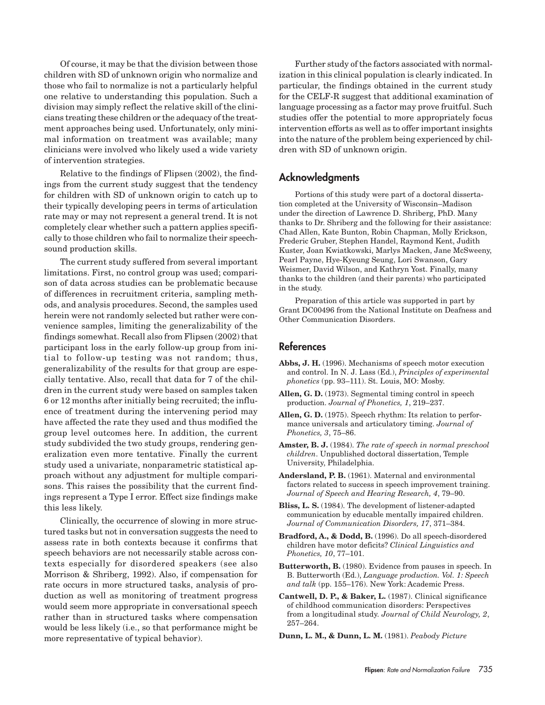Of course, it may be that the division between those children with SD of unknown origin who normalize and those who fail to normalize is not a particularly helpful one relative to understanding this population. Such a division may simply reflect the relative skill of the clinicians treating these children or the adequacy of the treatment approaches being used. Unfortunately, only minimal information on treatment was available; many clinicians were involved who likely used a wide variety of intervention strategies.

Relative to the findings of Flipsen (2002), the findings from the current study suggest that the tendency for children with SD of unknown origin to catch up to their typically developing peers in terms of articulation rate may or may not represent a general trend. It is not completely clear whether such a pattern applies specifically to those children who fail to normalize their speechsound production skills.

The current study suffered from several important limitations. First, no control group was used; comparison of data across studies can be problematic because of differences in recruitment criteria, sampling methods, and analysis procedures. Second, the samples used herein were not randomly selected but rather were convenience samples, limiting the generalizability of the findings somewhat. Recall also from Flipsen (2002) that participant loss in the early follow-up group from initial to follow-up testing was not random; thus, generalizability of the results for that group are especially tentative. Also, recall that data for 7 of the children in the current study were based on samples taken 6 or 12 months after initially being recruited; the influence of treatment during the intervening period may have affected the rate they used and thus modified the group level outcomes here. In addition, the current study subdivided the two study groups, rendering generalization even more tentative. Finally the current study used a univariate, nonparametric statistical approach without any adjustment for multiple comparisons. This raises the possibility that the current findings represent a Type I error. Effect size findings make this less likely.

Clinically, the occurrence of slowing in more structured tasks but not in conversation suggests the need to assess rate in both contexts because it confirms that speech behaviors are not necessarily stable across contexts especially for disordered speakers (see also Morrison & Shriberg, 1992). Also, if compensation for rate occurs in more structured tasks, analysis of production as well as monitoring of treatment progress would seem more appropriate in conversational speech rather than in structured tasks where compensation would be less likely (i.e., so that performance might be more representative of typical behavior).

Further study of the factors associated with normalization in this clinical population is clearly indicated. In particular, the findings obtained in the current study for the CELF-R suggest that additional examination of language processing as a factor may prove fruitful. Such studies offer the potential to more appropriately focus intervention efforts as well as to offer important insights into the nature of the problem being experienced by children with SD of unknown origin.

#### **Acknowledgments**

Portions of this study were part of a doctoral dissertation completed at the University of Wisconsin–Madison under the direction of Lawrence D. Shriberg, PhD. Many thanks to Dr. Shriberg and the following for their assistance: Chad Allen, Kate Bunton, Robin Chapman, Molly Erickson, Frederic Gruber, Stephen Handel, Raymond Kent, Judith Kuster, Joan Kwiatkowski, Marlys Macken, Jane McSweeny, Pearl Payne, Hye-Kyeung Seung, Lori Swanson, Gary Weismer, David Wilson, and Kathryn Yost. Finally, many thanks to the children (and their parents) who participated in the study.

Preparation of this article was supported in part by Grant DC00496 from the National Institute on Deafness and Other Communication Disorders.

#### **References**

- **Abbs, J. H.** (1996). Mechanisms of speech motor execution and control. In N. J. Lass (Ed.), *Principles of experimental phonetics* (pp. 93–111). St. Louis, MO: Mosby.
- **Allen, G. D.** (1973). Segmental timing control in speech production. *Journal of Phonetics, 1*, 219–237.
- **Allen, G. D.** (1975). Speech rhythm: Its relation to performance universals and articulatory timing. *Journal of Phonetics, 3*, 75–86.
- **Amster, B. J.** (1984). *The rate of speech in normal preschool children*. Unpublished doctoral dissertation, Temple University, Philadelphia.
- **Andersland, P. B.** (1961). Maternal and environmental factors related to success in speech improvement training. *Journal of Speech and Hearing Research, 4*, 79–90.
- **Bliss, L. S.** (1984). The development of listener-adapted communication by educable mentally impaired children. *Journal of Communication Disorders, 17*, 371–384.
- **Bradford, A., & Dodd, B.** (1996). Do all speech-disordered children have motor deficits? *Clinical Linguistics and Phonetics, 10*, 77–101.
- **Butterworth, B.** (1980). Evidence from pauses in speech. In B. Butterworth (Ed.), *Language production. Vol. 1: Speech and talk* (pp. 155–176). New York: Academic Press.
- **Cantwell, D. P., & Baker, L.** (1987). Clinical significance of childhood communication disorders: Perspectives from a longitudinal study. *Journal of Child Neurology, 2*, 257–264.
- **Dunn, L. M., & Dunn, L. M.** (1981). *Peabody Picture*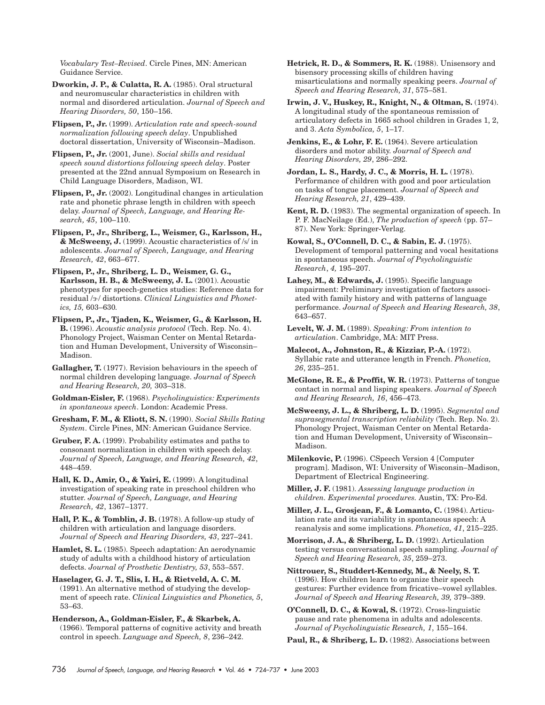*Vocabulary Test–Revised*. Circle Pines, MN: American Guidance Service.

**Dworkin, J. P., & Culatta, R. A.** (1985). Oral structural and neuromuscular characteristics in children with normal and disordered articulation. *Journal of Speech and Hearing Disorders, 50*, 150–156.

**Flipsen, P., Jr.** (1999). *Articulation rate and speech-sound normalization following speech delay*. Unpublished doctoral dissertation, University of Wisconsin–Madison.

**Flipsen, P., Jr.** (2001, June). *Social skills and residual speech sound distortions following speech delay*. Poster presented at the 22nd annual Symposium on Research in Child Language Disorders, Madison, WI.

**Flipsen, P., Jr.** (2002). Longitudinal changes in articulation rate and phonetic phrase length in children with speech delay. *Journal of Speech, Language, and Hearing Research, 45*, 100–110.

**Flipsen, P., Jr., Shriberg, L., Weismer, G., Karlsson, H., & McSweeny, J.** (1999). Acoustic characteristics of /s/ in adolescents. *Journal of Speech, Language, and Hearing Research, 42*, 663–677.

**Flipsen, P., Jr., Shriberg, L. D., Weismer, G. G., Karlsson, H. B., & McSweeny, J. L.** (2001). Acoustic phenotypes for speech-genetics studies: Reference data for residual /∏±/ distortions. *Clinical Linguistics and Phonetics, 15,* 603–630*.*

**Flipsen, P., Jr., Tjaden, K., Weismer, G., & Karlsson, H. B.** (1996). *Acoustic analysis protocol* (Tech. Rep. No. 4). Phonology Project, Waisman Center on Mental Retardation and Human Development, University of Wisconsin– Madison.

**Gallagher, T.** (1977). Revision behaviours in the speech of normal children developing language. *Journal of Speech and Hearing Research, 20,* 303–318.

**Goldman-Eisler, F.** (1968). *Psycholinguistics: Experiments in spontaneous speech*. London: Academic Press.

**Gresham, F. M., & Eliott, S. N.** (1990). *Social Skills Rating System*. Circle Pines, MN: American Guidance Service.

**Gruber, F. A.** (1999). Probability estimates and paths to consonant normalization in children with speech delay. *Journal of Speech, Language, and Hearing Research, 42*, 448–459.

**Hall, K. D., Amir, O., & Yairi, E.** (1999). A longitudinal investigation of speaking rate in preschool children who stutter. *Journal of Speech, Language, and Hearing Research, 42*, 1367–1377.

**Hall, P. K., & Tomblin, J. B.** (1978). A follow-up study of children with articulation and language disorders. *Journal of Speech and Hearing Disorders, 43*, 227–241.

**Hamlet, S. L.** (1985). Speech adaptation: An aerodynamic study of adults with a childhood history of articulation defects. *Journal of Prosthetic Dentistry, 53*, 553–557.

**Haselager, G. J. T., Slis, I. H., & Rietveld, A. C. M.** (1991). An alternative method of studying the development of speech rate. *Clinical Linguistics and Phonetics, 5*, 53–63.

**Henderson, A., Goldman-Eisler, F., & Skarbek, A.** (1966). Temporal patterns of cognitive activity and breath control in speech. *Language and Speech, 8*, 236–242.

**Hetrick, R. D., & Sommers, R. K.** (1988). Unisensory and bisensory processing skills of children having misarticulations and normally speaking peers. *Journal of Speech and Hearing Research, 31*, 575–581.

**Irwin, J. V., Huskey, R., Knight, N., & Oltman, S.** (1974). A longitudinal study of the spontaneous remission of articulatory defects in 1665 school children in Grades 1, 2, and 3. *Acta Symbolica, 5*, 1–17.

**Jenkins, E., & Lohr, F. E.** (1964). Severe articulation disorders and motor ability. *Journal of Speech and Hearing Disorders, 29*, 286–292.

**Jordan, L. S., Hardy, J. C., & Morris, H. L.** (1978). Performance of children with good and poor articulation on tasks of tongue placement. *Journal of Speech and Hearing Research, 21*, 429–439.

**Kent, R. D.** (1983). The segmental organization of speech. In P. F. MacNeilage (Ed.), *The production of speech* (pp. 57– 87). New York: Springer-Verlag.

**Kowal, S., O'Connell, D. C., & Sabin, E. J.** (1975). Development of temporal patterning and vocal hesitations in spontaneous speech. *Journal of Psycholinguistic Research*, *4,* 195–207.

**Lahey, M., & Edwards, J.** (1995). Specific language impairment: Preliminary investigation of factors associated with family history and with patterns of language performance. *Journal of Speech and Hearing Research, 38*, 643–657.

**Levelt, W. J. M.** (1989). *Speaking: From intention to articulation*. Cambridge, MA: MIT Press.

**Malecot, A., Johnston, R., & Kizziar, P.-A.** (1972). Syllabic rate and utterance length in French. *Phonetica, 26*, 235–251.

**McGlone, R. E., & Proffit, W. R.** (1973). Patterns of tongue contact in normal and lisping speakers. *Journal of Speech and Hearing Research, 16*, 456–473.

**McSweeny, J. L., & Shriberg, L. D.** (1995). *Segmental and suprasegmental transcription reliability* (Tech. Rep. No. 2). Phonology Project, Waisman Center on Mental Retardation and Human Development, University of Wisconsin– Madison.

**Milenkovic, P.** (1996). CSpeech Version 4 [Computer program]. Madison, WI: University of Wisconsin–Madison, Department of Electrical Engineering.

**Miller, J. F.** (1981). *Assessing language production in children. Experimental procedures.* Austin, TX: Pro-Ed.

**Miller, J. L., Grosjean, F., & Lomanto, C.** (1984). Articulation rate and its variability in spontaneous speech: A reanalysis and some implications. *Phonetica, 41*, 215–225.

**Morrison, J. A., & Shriberg, L. D.** (1992). Articulation testing versus conversational speech sampling. *Journal of Speech and Hearing Research, 35*, 259–273.

**Nittrouer, S., Studdert-Kennedy, M., & Neely, S. T.** (1996). How children learn to organize their speech gestures: Further evidence from fricative–vowel syllables. *Journal of Speech and Hearing Research, 39,* 379–389.

**O'Connell, D. C., & Kowal, S.** (1972). Cross-linguistic pause and rate phenomena in adults and adolescents. *Journal of Psycholinguistic Research, 1*, 155–164.

**Paul, R., & Shriberg, L. D.** (1982). Associations between